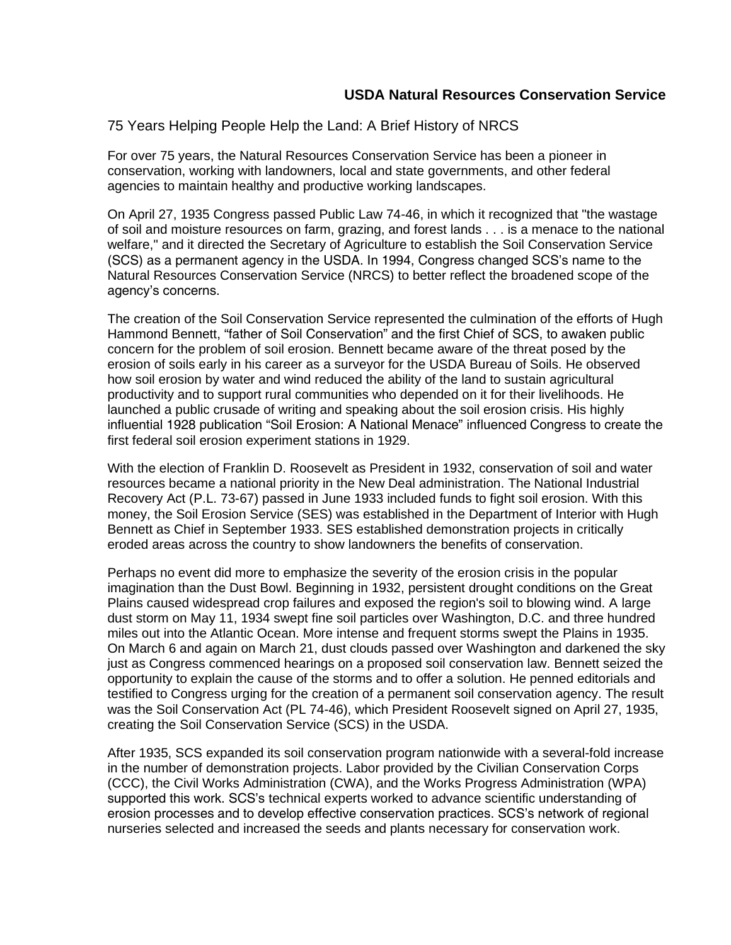75 Years Helping People Help the Land: A Brief History of NRCS

For over 75 years, the Natural Resources Conservation Service has been a pioneer in conservation, working with landowners, local and state governments, and other federal agencies to maintain healthy and productive working landscapes.

On April 27, 1935 Congress passed Public Law 74-46, in which it recognized that "the wastage of soil and moisture resources on farm, grazing, and forest lands . . . is a menace to the national welfare," and it directed the Secretary of Agriculture to establish the Soil Conservation Service (SCS) as a permanent agency in the USDA. In 1994, Congress changed SCS's name to the Natural Resources Conservation Service (NRCS) to better reflect the broadened scope of the agency's concerns.

The creation of the Soil Conservation Service represented the culmination of the efforts of [Hugh](http://www.nrcs.usda.gov/wps/portal/nrcs/detail/national/about/history/?cid=stelprdb1044395)  [Hammond Bennett,](http://www.nrcs.usda.gov/wps/portal/nrcs/detail/national/about/history/?cid=stelprdb1044395) "father of Soil Conservation" and the first Chief of SCS, to awaken public concern for the problem of soil erosion. Bennett became aware of the threat posed by the erosion of soils early in his career as a surveyor for the USDA Bureau of Soils. He observed how soil erosion by water and wind reduced the ability of the land to sustain agricultural productivity and to support rural communities who depended on it for their livelihoods. He launched a public crusade of writing and speaking about the soil erosion crisis. His highly influential 1928 publication "Soil Erosion: A National Menace" influenced Congress to create the first federal soil erosion experiment stations in 1929.

With the election of Franklin D. Roosevelt as President in 1932, conservation of soil and water resources became a national priority in the New Deal administration. The National Industrial Recovery Act (P.L. 73-67) passed in June 1933 included funds to fight soil erosion. With this money, the Soil Erosion Service (SES) was established in the Department of Interior with Hugh Bennett as Chief in September 1933. SES established demonstration projects in critically eroded areas across the country to show landowners the benefits of conservation.

Perhaps no event did more to emphasize the severity of the erosion crisis in the popular imagination than the Dust Bowl. Beginning in 1932, persistent drought conditions on the Great Plains caused widespread crop failures and exposed the region's soil to blowing wind. A large dust storm on May 11, 1934 swept fine soil particles over Washington, D.C. and three hundred miles out into the Atlantic Ocean. More intense and frequent storms swept the Plains in 1935. On March 6 and again on March 21, dust clouds passed over Washington and darkened the sky just as Congress commenced hearings on a proposed soil conservation law. Bennett seized the opportunity to explain the cause of the storms and to offer a solution. He penned editorials and testified to Congress urging for the creation of a permanent soil conservation agency. The result was the Soil Conservation Act (PL 74-46), which President Roosevelt signed on April 27, 1935, creating the Soil Conservation Service (SCS) in the USDA.

After 1935, SCS expanded its soil conservation program nationwide with a several-fold increase in the number of demonstration projects. Labor provided by the Civilian Conservation Corps (CCC), the Civil Works Administration (CWA), and the Works Progress Administration (WPA) supported this work. SCS's technical experts worked to advance scientific understanding of erosion processes and to develop effective conservation practices. SCS's network of regional nurseries selected and increased the seeds and plants necessary for conservation work.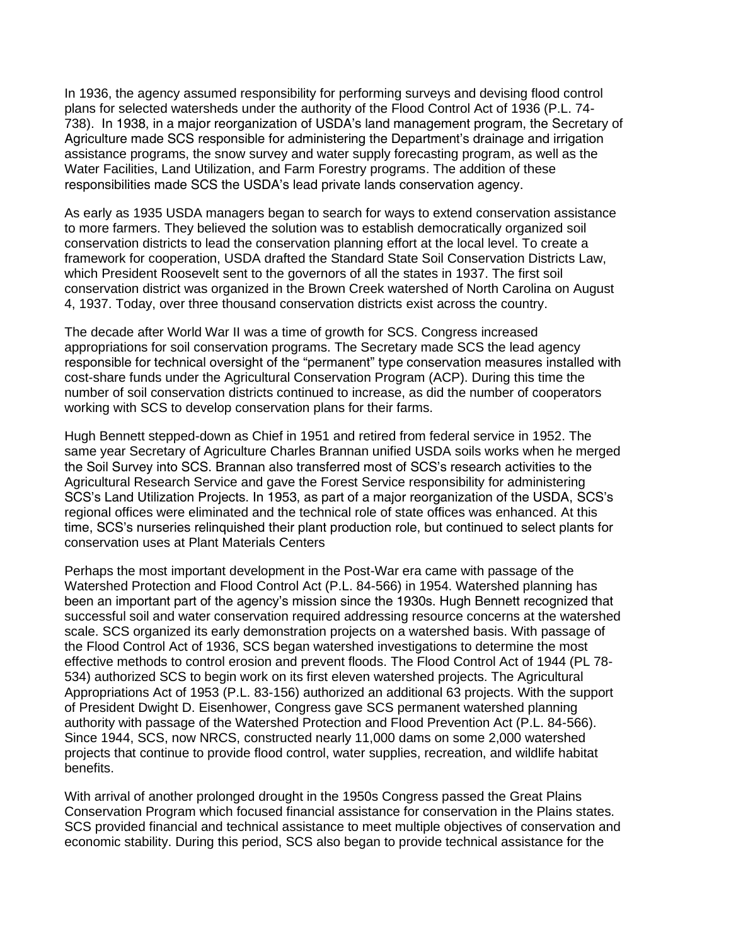In 1936, the agency assumed responsibility for performing surveys and devising flood control plans for selected watersheds under the authority of the Flood Control Act of 1936 (P.L. 74- 738). In 1938, in a major reorganization of USDA's land management program, the Secretary of Agriculture made SCS responsible for administering the Department's drainage and irrigation assistance programs, the snow survey and water supply forecasting program, as well as the Water Facilities, Land Utilization, and Farm Forestry programs. The addition of these responsibilities made SCS the USDA's lead private lands conservation agency.

As early as 1935 USDA managers began to search for ways to extend conservation assistance to more farmers. They believed the solution was to establish democratically organized soil conservation districts to lead the conservation planning effort at the local level. To create a framework for cooperation, USDA drafted the Standard State Soil Conservation Districts Law, which President Roosevelt sent to the governors of all the states in 1937. The first soil conservation district was organized in the Brown Creek watershed of North Carolina on August 4, 1937. Today, over three thousand conservation districts exist across the country.

The decade after World War II was a time of growth for SCS. Congress increased appropriations for soil conservation programs. The Secretary made SCS the lead agency responsible for technical oversight of the "permanent" type conservation measures installed with cost-share funds under the Agricultural Conservation Program (ACP). During this time the number of soil conservation districts continued to increase, as did the number of cooperators working with SCS to develop conservation plans for their farms.

Hugh Bennett stepped-down as Chief in 1951 and retired from federal service in 1952. The same year Secretary of Agriculture Charles Brannan unified USDA soils works when he merged the Soil Survey into SCS. Brannan also transferred most of SCS's research activities to the Agricultural Research Service and gave the Forest Service responsibility for administering SCS's Land Utilization Projects. In 1953, as part of a major reorganization of the USDA, SCS's regional offices were eliminated and the technical role of state offices was enhanced. At this time, SCS's nurseries relinquished their plant production role, but continued to select plants for conservation uses at Plant Materials Centers

Perhaps the most important development in the Post-War era came with passage of the Watershed Protection and Flood Control Act (P.L. 84-566) in 1954. Watershed planning has been an important part of the agency's mission since the 1930s. Hugh Bennett recognized that successful soil and water conservation required addressing resource concerns at the watershed scale. SCS organized its early demonstration projects on a watershed basis. With passage of the Flood Control Act of 1936, SCS began watershed investigations to determine the most effective methods to control erosion and prevent floods. The Flood Control Act of 1944 (PL 78- 534) authorized SCS to begin work on its first eleven watershed projects. The Agricultural Appropriations Act of 1953 (P.L. 83-156) authorized an additional 63 projects. With the support of President Dwight D. Eisenhower, Congress gave SCS permanent watershed planning authority with passage of the Watershed Protection and Flood Prevention Act (P.L. 84-566). Since 1944, SCS, now NRCS, constructed nearly 11,000 dams on some 2,000 watershed projects that continue to provide flood control, water supplies, recreation, and wildlife habitat benefits.

With arrival of another prolonged drought in the 1950s Congress passed the Great Plains Conservation Program which focused financial assistance for conservation in the Plains states. SCS provided financial and technical assistance to meet multiple objectives of conservation and economic stability. During this period, SCS also began to provide technical assistance for the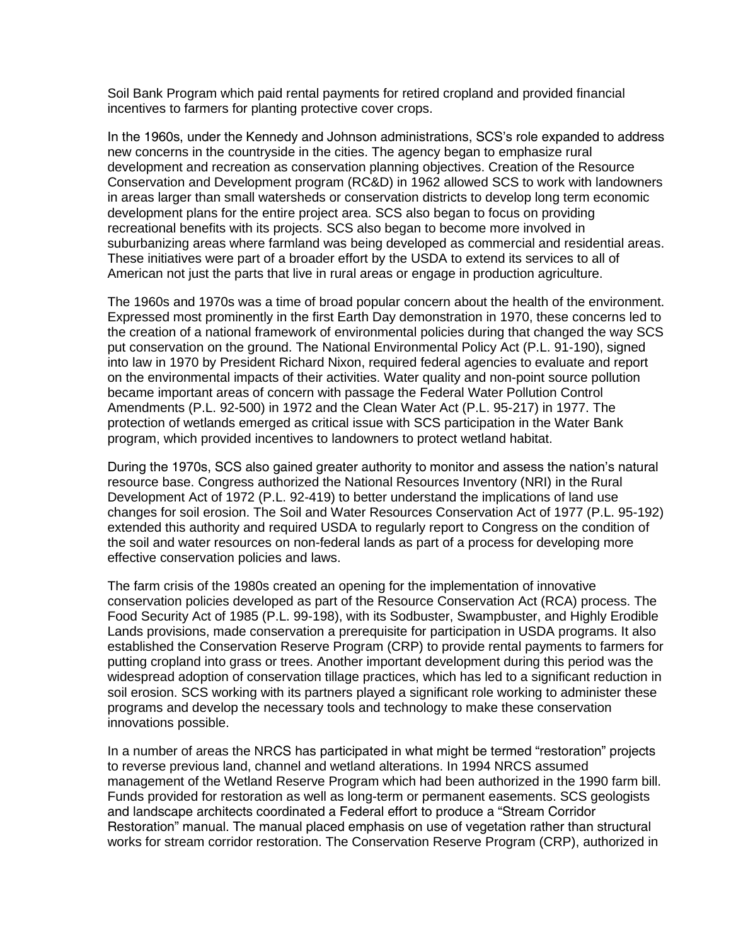Soil Bank Program which paid rental payments for retired cropland and provided financial incentives to farmers for planting protective cover crops.

In the 1960s, under the Kennedy and Johnson administrations, SCS's role expanded to address new concerns in the countryside in the cities. The agency began to emphasize rural development and recreation as conservation planning objectives. Creation of the Resource Conservation and Development program (RC&D) in 1962 allowed SCS to work with landowners in areas larger than small watersheds or conservation districts to develop long term economic development plans for the entire project area. SCS also began to focus on providing recreational benefits with its projects. SCS also began to become more involved in suburbanizing areas where farmland was being developed as commercial and residential areas. These initiatives were part of a broader effort by the USDA to extend its services to all of American not just the parts that live in rural areas or engage in production agriculture.

The 1960s and 1970s was a time of broad popular concern about the health of the environment. Expressed most prominently in the first Earth Day demonstration in 1970, these concerns led to the creation of a national framework of environmental policies during that changed the way SCS put conservation on the ground. The National Environmental Policy Act (P.L. 91-190), signed into law in 1970 by President Richard Nixon, required federal agencies to evaluate and report on the environmental impacts of their activities. Water quality and non-point source pollution became important areas of concern with passage the Federal Water Pollution Control Amendments (P.L. 92-500) in 1972 and the Clean Water Act (P.L. 95-217) in 1977. The protection of wetlands emerged as critical issue with SCS participation in the Water Bank program, which provided incentives to landowners to protect wetland habitat.

During the 1970s, SCS also gained greater authority to monitor and assess the nation's natural resource base. Congress authorized the National Resources Inventory (NRI) in the Rural Development Act of 1972 (P.L. 92-419) to better understand the implications of land use changes for soil erosion. The Soil and Water Resources Conservation Act of 1977 (P.L. 95-192) extended this authority and required USDA to regularly report to Congress on the condition of the soil and water resources on non-federal lands as part of a process for developing more effective conservation policies and laws.

The farm crisis of the 1980s created an opening for the implementation of innovative conservation policies developed as part of the Resource Conservation Act (RCA) process. The Food Security Act of 1985 (P.L. 99-198), with its Sodbuster, Swampbuster, and Highly Erodible Lands provisions, made conservation a prerequisite for participation in USDA programs. It also established the Conservation Reserve Program (CRP) to provide rental payments to farmers for putting cropland into grass or trees. Another important development during this period was the widespread adoption of conservation tillage practices, which has led to a significant reduction in soil erosion. SCS working with its partners played a significant role working to administer these programs and develop the necessary tools and technology to make these conservation innovations possible.

In a number of areas the NRCS has participated in what might be termed "restoration" projects to reverse previous land, channel and wetland alterations. In 1994 NRCS assumed management of the Wetland Reserve Program which had been authorized in the 1990 farm bill. Funds provided for restoration as well as long-term or permanent easements. SCS geologists and landscape architects coordinated a Federal effort to produce a "Stream Corridor Restoration" manual. The manual placed emphasis on use of vegetation rather than structural works for stream corridor restoration. The Conservation Reserve Program (CRP), authorized in